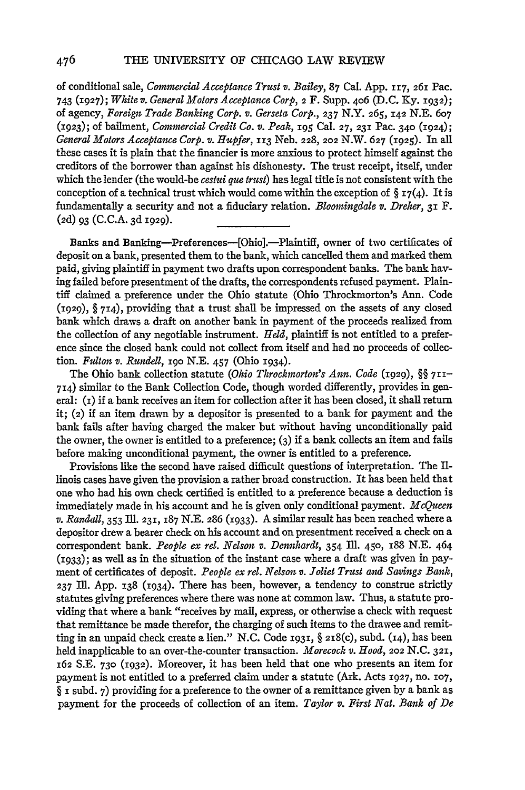of conditional sale, *Commercial Acceptance Trust v. Bailey,* 87 Cal. App. **117,** 261 Pac. 743 (1927); *White v. General Motors Acceptance Corp,* **2** F. Supp. 406 (D.C. Ky. **1932);** of agency, *Foreign Trade Banking Corp. v. Gerseta Corp., 237* N.Y. **265, 142** N.E. 607 **(1923);** of bailment, *Commercial Credit Co. v. Peak,* **195** Cal. **27, 231** Pac. 340 (1924); *General Motors Acceptance Corp. v. Hupfer,* 113 Neb. **228, 202** N.W. **627** (1925). In all these cases it is plain that the financier is more anxious to protect himself against the creditors of the borrower than against his dishonesty. The trust receipt, itself, under which the lender (the would-be *cestui que trust)* has legal title is not consistent with the conception of a technical trust which would come within the exception of  $\Sigma_7(4)$ . It is fundamentally a security and not a fiduciary relation. *Bloomingdale v. Dreher,* 31 F. (2d) 93 (C.C.A. 3d 1929).

Banks and Banking-Preferences-[Ohio].-Plaintiff, owner of two certificates of deposit on a bank, presented them to the bank, which cancelled them and marked them paid, giving plaintiff in payment two drafts upon correspondent banks. The bank having failed before presentment of the drafts, the correspondents refused payment. Plaintiff claimed a preference under the Ohio statute (Ohio Throckmorton's Ann. Code (1929), § 714), providing that a trust shall be impressed on the assets of any dosed bank which draws a draft on another bank in payment of the proceeds realized from the collection of any negotiable instrument. *Held,* plaintiff is not entitled to a preference since the dosed bank could not collect from itself and had no proceeds of collection. *Fnlton v. Rundell,* **19o N.E.** 457 (Ohio 1934).

The Ohio bank collection statute *(Ohio Throckmorton's Ann. Code (1929),* §§ **711-** 714) similar to the Bank Collection Code, though worded differently, provides in general: **(i)** if a bank receives an item for collection after it has been dosed, it shall return it; **(2)** if an item drawn by a depositor is presented to a bank for payment and the bank fails after having charged the maker but without having unconditionally paid the owner, the owner is entitled to a preference; (3) if a bank collects an item and fails before making unconditional payment, the owner is entitled to a preference.

Provisions like the second have raised difficult questions of interpretation. The Illinois cases have given the provision a rather broad construction. It has been held that one who had his own check certified is entitled to a preference because a deduction is immediately made in his account and he is given only conditional payment. *McQueen v. Randall,* 353 Ill. 231, **187** N.E. 286 **(1933).** A similar result has been reached where a depositor drew a bearer check on his account and on presentment received a check on a correspondent bank. *People ex rel. Nelson v. Dennhardt, 354* Ill. 450, 188 N.E. 464 (1933); as well as in the situation of the instant case where a draft was given in payment of certificates of deposit. *People ex rel. Nelson v. Joliet Trust and Savings Bank,* **237 Ill.** App. **138** (1934). There has been, however, a tendency to construe strictly statutes giving preferences where there was none at common law. Thus, a statute providing that where a bank "receives by mail, express, or otherwise a check with request that remittance be made therefor, the charging of such items to the drawee and remitting in an unpaid check create a lien." N.C. Code **1931,** § 2i8(c), subd. (i4), has been held inapplicable to an over-the-counter transaction. *Morecock v. Hood, 202* N.C. **321,** 162 S.E. **730 (1932).** Moreover, it has been held that one who presents an item for payment is not entitled to a preferred claim under a statute (Ark. Acts **1927,** no. **107,** § i subd. 7) providing for a preference to the owner of a remittance given by a bank as payment for the proceeds of collection of an item. *Taylor v. First Nat. Bank of De*